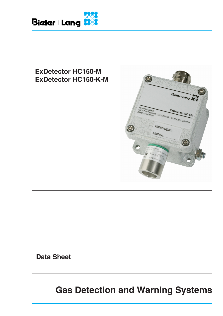



**Data Sheet**

**Gas Detection and Warning Systems**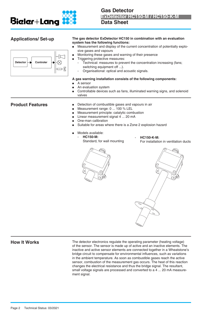

| <b>Applications/Set-up</b><br>Controler<br><b>Detector</b> | The gas detector ExDetector HC150 in combination with an evaluation<br>system has the following functions:<br>$\bullet$<br>sive gases and vapours<br>Monitoring these gases and warning of their presence<br>$\bullet$<br>Triggering protective measures:<br>switching equipment off ).<br>Organisational: optical and acoustic signals. | Measurement and display of the current concentration of potentially explo-<br>Technical: measures to prevent the concentration increasing (fans; |
|------------------------------------------------------------|------------------------------------------------------------------------------------------------------------------------------------------------------------------------------------------------------------------------------------------------------------------------------------------------------------------------------------------|--------------------------------------------------------------------------------------------------------------------------------------------------|
|                                                            | A gas warning installation consists of the following components:<br>A sensor<br>An evaluation system<br>valves                                                                                                                                                                                                                           | Controllable devices such as fans, illuminated warning signs, and solenoid                                                                       |
| <b>Product Features</b>                                    | Detection of combustible gases and vapours in air<br>Measurement range: 0  100 % LEL<br>Measurement principle: catalytic combustion<br>Linear measurement signal 4  20 mA<br>One-man calibration<br>Suitable for areas where there is a Zone 2 explosion hazard                                                                          |                                                                                                                                                  |
|                                                            | Models available:<br><b>HC150-M:</b><br>L,<br>Standard, for wall mounting                                                                                                                                                                                                                                                                | <b>HC150-K-M:</b><br>For installation in ventilation ducts                                                                                       |
|                                                            |                                                                                                                                                                                                                                                                                                                                          |                                                                                                                                                  |

**How It Works** The detector electronics regulate the operating parameter (heating voltage) of the sensor. The sensor is made up of active and an inactive elements. The inactive and active sensor elements are connected together in a Wheatstone's bridge circuit to compensate for environmental influences, such as variations in the ambient temperature. As soon as combustible gases reach the active sensor, combustion of the measurement gas occurs. The heat of this reaction changes the electrical resistance and thus the bridge signal. The resultant, small voltage signals are processed and converted to a 4 ... 20 mA measurement signal.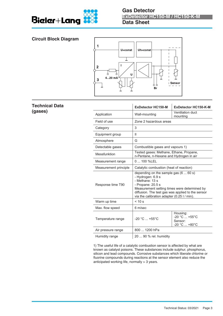

# **Circuit Block Diagram**



# **Technical Data (gases)**

|                       | <b>ExDetector HC150-M</b>                                                                                                                                                                                                                                     | <b>ExDetector HC150-K-M</b>                                 |  |
|-----------------------|---------------------------------------------------------------------------------------------------------------------------------------------------------------------------------------------------------------------------------------------------------------|-------------------------------------------------------------|--|
| Application           | Wall-mounting                                                                                                                                                                                                                                                 | Ventilation duct<br>mounting                                |  |
| Field of use          | Zone 2 hazardous areas                                                                                                                                                                                                                                        |                                                             |  |
| Category              | 3                                                                                                                                                                                                                                                             |                                                             |  |
| Equipment group       | $\mathbf{H}$                                                                                                                                                                                                                                                  |                                                             |  |
| Atmosphere            | G                                                                                                                                                                                                                                                             |                                                             |  |
| Detectable gases      | Combustible gases and vapours 1)                                                                                                                                                                                                                              |                                                             |  |
| Messfunktion          | Tested gases: Methane, Ethane, Propane,<br>n-Pentane, n-Hexane and Hydrogen in air                                                                                                                                                                            |                                                             |  |
| Measurement range     | $0100$ %LEL                                                                                                                                                                                                                                                   |                                                             |  |
| Measurement principle | Catalytic combustion (heat of reaction)                                                                                                                                                                                                                       |                                                             |  |
| Response time T90     | depending on the sample gas $(6 \dots 60 s)$<br>- Hydrogen: 6.9 s<br>- Methane: 13 s<br>- Propane: 20.5 s<br>Measurement setting times were determined by<br>diffusion. The test gas was applied to the sensor<br>via the calibration adapter (0.25 l / min). |                                                             |  |
| Warm up time          | < 10 s                                                                                                                                                                                                                                                        |                                                             |  |
| Max. flow speed       | 6 m/sec                                                                                                                                                                                                                                                       |                                                             |  |
| Temperature range     | $-20 °C  +55 °C$                                                                                                                                                                                                                                              | Housing:<br>$-20 °C  +55 °C$<br>Sensor:<br>$-20 °C  +80 °C$ |  |
| Air pressure range    | 800  1200 hPa                                                                                                                                                                                                                                                 |                                                             |  |
| Humidity range        | 20  90 % rel. humidity                                                                                                                                                                                                                                        |                                                             |  |

1) The useful life of a catalytic combustion sensor is affected by what are known as catalyst poisons. These substances include sulphur, phosphorus, silicon and lead compounds. Corrosive substances which liberate chlorine or fluorine compounds during reactions at the sensor element also reduce the anticipated working life, normally > 3 years.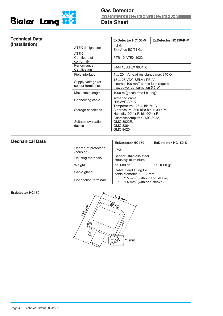



## **Technical Data (installation)**

|                                             | <b>ExDetector HC150-M</b>                                                                          | <b>ExDetector HC150-K-M</b> |  |
|---------------------------------------------|----------------------------------------------------------------------------------------------------|-----------------------------|--|
| ATEX designation                            | II 3 G<br>Ex nA de IIC T4 Gc                                                                       |                             |  |
| <b>ATFX</b><br>Certificate of<br>conformity | <b>PTB 10 ATEX 1023</b>                                                                            |                             |  |
| Performance<br>Certification                | <b>BAM 16 ATEX 0801 X</b>                                                                          |                             |  |
| Field interface                             | 4  20 mA, load resistance max 240 Ohm                                                              |                             |  |
| Supply voltage (at<br>sensor terminals)     | 18  28 VDC SELV / PELV;<br>external 100 mAT series fuse required;<br>max power consumption 5,5 W   |                             |  |
| Max. cable length                           | 1000 m (geschirmte Leitung)                                                                        |                             |  |
| Connecting cable                            | screened cable<br>H05VVC4V5-K                                                                      |                             |  |
| Storage conditions                          | Temperature: -25°C bis 60°C<br>Air pressure: 800 hPa bis 1100 hPa<br>Humidity 20% r.F. bis 90% r.F |                             |  |
| Suitable evaluation<br>device               | Gasmesscomputer GMC 8022,<br>GMC 8022E,<br>GMC 8364,<br>GMC 8420                                   |                             |  |

### **Mechanical Data**

|                                   | <b>ExDetector HC150</b>                                                                      | <b>ExDetector HC150-K</b> |
|-----------------------------------|----------------------------------------------------------------------------------------------|---------------------------|
| Degree of protection<br>(housing) | IP <sub>54</sub>                                                                             |                           |
| Housing materials                 | Sensor: stainless steel<br>Housing: aluminium                                                |                           |
| Weight                            | ca. 600 gr                                                                                   | ca. 1600 gr               |
| Cable gland                       | Cable gland fitting for<br>cable diameter 7 12 mm                                            |                           |
| Connection terminals              | $0.5 2.5$ mm <sup>2</sup> (without end sleeve)<br>$0.51.5$ mm <sup>2</sup> (with end sleeve) |                           |

#### **Exdetector HC150**

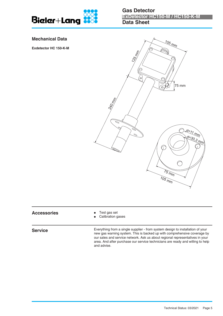

#### **Mechanical Data**

**Exdetector HC 150-K-M**



# **Accessories** • Test gas set<br>
• Calibration g

**Service**

Calibration gases

Everything from a single supplier - from system design to installation of your new gas warning system. This is backed up with comprehensive coverage by our sales and service network. Ask us about regional representatives in your area. And after purchase our service technicians are ready and willing to help and advise.